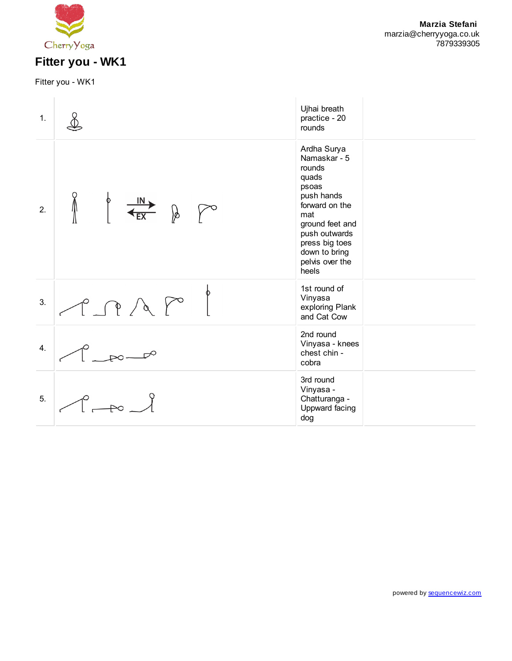

Fitter you - WK1

| 1. |                                   | Ujhai breath<br>practice - 20<br>rounds                                                                                                                                                           |
|----|-----------------------------------|---------------------------------------------------------------------------------------------------------------------------------------------------------------------------------------------------|
| 2. | $\oint \frac{IN}{\text{EX}}$<br>∦ | Ardha Surya<br>Namaskar - 5<br>rounds<br>quads<br>psoas<br>push hands<br>forward on the<br>mat<br>ground feet and<br>push outwards<br>press big toes<br>down to bring<br>pelvis over the<br>heels |
| 3. | P P A P                           | 1st round of<br>Vinyasa<br>exploring Plank<br>and Cat Cow                                                                                                                                         |
| 4. |                                   | 2nd round<br>Vinyasa - knees<br>chest chin -<br>cobra                                                                                                                                             |
| 5. | $\overline{\mathbb{R}}$           | 3rd round<br>Vinyasa -<br>Chatturanga -<br>Uppward facing<br>dog                                                                                                                                  |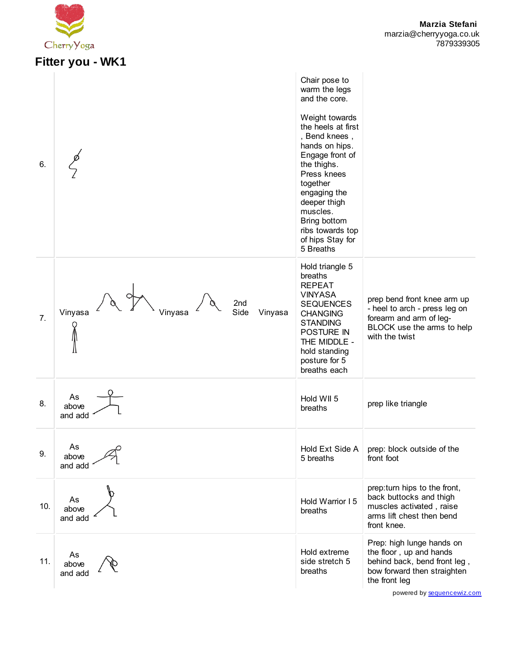

## **Fitter you - WK1**

| 6.  |                                              | Chair pose to<br>warm the legs<br>and the core.<br>Weight towards<br>the heels at first<br>, Bend knees,<br>hands on hips.<br>Engage front of<br>the thighs.<br>Press knees<br>together<br>engaging the<br>deeper thigh<br>muscles.<br>Bring bottom<br>ribs towards top<br>of hips Stay for<br>5 Breaths |                                                                                                                                                               |
|-----|----------------------------------------------|----------------------------------------------------------------------------------------------------------------------------------------------------------------------------------------------------------------------------------------------------------------------------------------------------------|---------------------------------------------------------------------------------------------------------------------------------------------------------------|
| 7.  | 2nd<br>Side<br>Vinyasa<br>Vinyasa<br>Vinyasa | Hold triangle 5<br>breaths<br><b>REPEAT</b><br><b>VINYASA</b><br><b>SEQUENCES</b><br><b>CHANGING</b><br><b>STANDING</b><br>POSTURE IN<br>THE MIDDLE -<br>hold standing<br>posture for 5<br>breaths each                                                                                                  | prep bend front knee arm up<br>- heel to arch - press leg on<br>forearm and arm of leg-<br>BLOCK use the arms to help<br>with the twist                       |
| 8.  | As<br>above<br>and add                       | Hold WII 5<br>breaths                                                                                                                                                                                                                                                                                    | prep like triangle                                                                                                                                            |
| 9.  | As<br>above<br>and add                       | Hold Ext Side A<br>5 breaths                                                                                                                                                                                                                                                                             | prep: block outside of the<br>front foot                                                                                                                      |
| 10. | As<br>above<br>and add                       | Hold Warrior I 5<br>breaths                                                                                                                                                                                                                                                                              | prep: turn hips to the front,<br>back buttocks and thigh<br>muscles activated, raise<br>arms lift chest then bend<br>front knee.                              |
| 11. | As<br>above<br>and add                       | Hold extreme<br>side stretch 5<br>breaths                                                                                                                                                                                                                                                                | Prep: high lunge hands on<br>the floor, up and hands<br>behind back, bend front leg,<br>bow forward then straighten<br>the front leg<br>nowared by coquangowi |

powered by [sequencewiz.com](http://www.sequencewiz.com/)